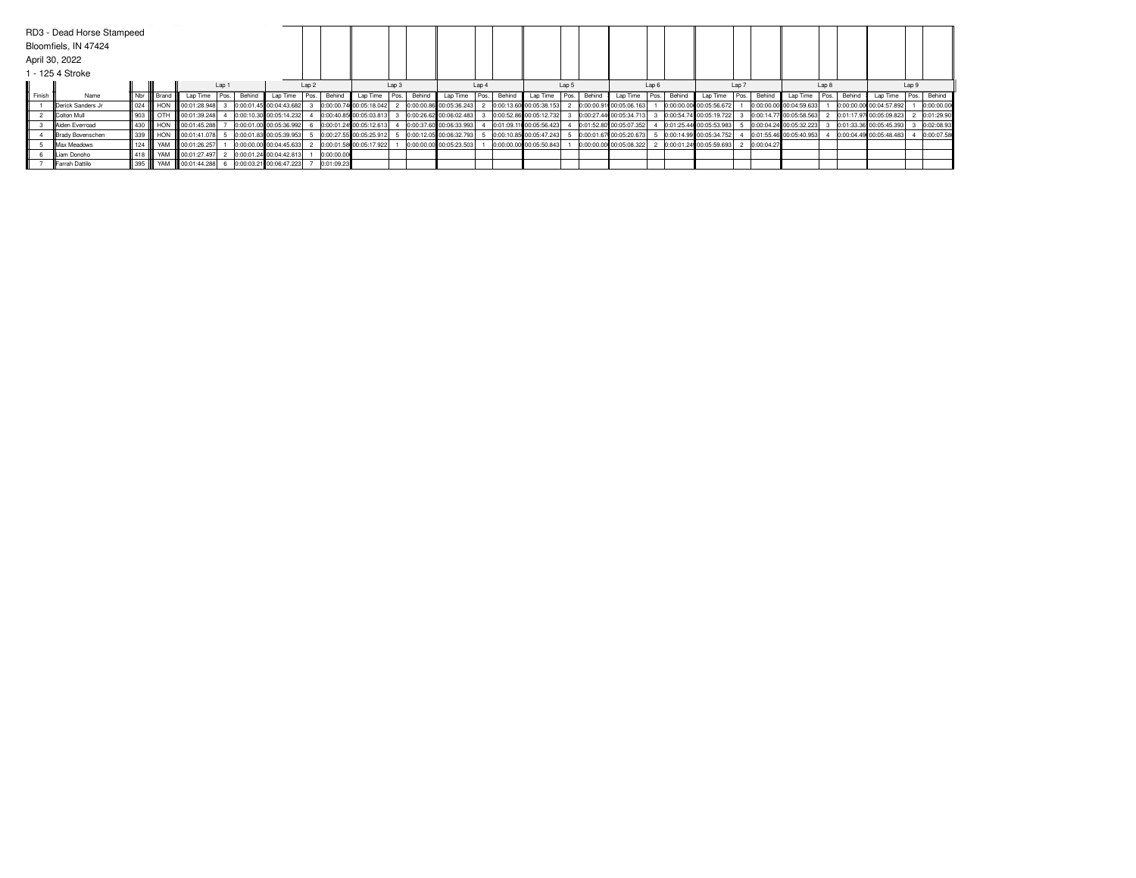|        | RD3 - Dead Horse Stampeed<br>Bloomfiels, IN 47424 |                   |              |                              |        |        |                         |                  |            |                         |       |        |                         |       |        |                         |       |        |                         |       |        |                         |       |             |                         |       |        |                         |       |             |
|--------|---------------------------------------------------|-------------------|--------------|------------------------------|--------|--------|-------------------------|------------------|------------|-------------------------|-------|--------|-------------------------|-------|--------|-------------------------|-------|--------|-------------------------|-------|--------|-------------------------|-------|-------------|-------------------------|-------|--------|-------------------------|-------|-------------|
|        | April 30, 2022                                    |                   |              |                              |        |        |                         |                  |            |                         |       |        |                         |       |        |                         |       |        |                         |       |        |                         |       |             |                         |       |        |                         |       |             |
|        | 1 - 125 4 Stroke                                  |                   |              |                              |        |        |                         |                  |            |                         |       |        |                         |       |        |                         |       |        |                         |       |        |                         |       |             |                         |       |        |                         |       |             |
|        |                                                   |                   |              |                              | Lap 1  |        |                         | Lap <sub>2</sub> |            |                         | Lap 3 |        |                         | Lap 4 |        |                         | Lap 5 |        |                         | Lap 6 |        |                         | Lap 7 |             |                         | Lap 8 |        |                         | Lap 9 |             |
| Finish | Name                                              |                   | Nbr    Brand | Lap Time                     | Pos. I | Behind | Lap Time                | Pos.             | Behind     | Lap Time                | Pos.  | Behind | Lap Time                | Pos.  | Behind | Lap Time                | Pos.  | Behind | Lap Time                | Pos.  | Behind | Lap Time                |       | Pos. Behind | Lap Time                | Pos.  | Behing | Lap Time                |       | Pos. Behind |
|        | Derick Sanders Jr                                 |                   |              | 024     HON   00:01:28.948   |        |        | 0:00:01.45 00:04:43.682 |                  |            | 0:00:00.74 00:05:18.042 |       |        | 0:00:00.86 00:05:36.243 |       |        | 0:00:13.60 00:05:38.153 |       |        | 0:00:00.91 00:05:06.163 |       |        | 0:00:00.00 00:05:56.672 |       |             | 0:00:00.00 00:04:59.633 |       |        | 0:00:00.00 00:04:57.892 |       | 0:00:00.00  |
|        | <b>IColton Mull</b>                               |                   |              | 903     OTH   00:01:39.248   |        |        | 0:00:10.30 00:05:14.232 |                  |            | 0:00:40.85 00:05:03.813 |       |        | 0:00:26.62 00:06:02.483 |       |        | 0:00:52.86 00:05:12.732 |       |        | 0:00:27.44 00:05:34.713 |       |        | 0:00:54.74 00:05:19.722 |       |             | 0:00:14.77 00:05:58.563 |       |        | 0:01:17.97 00:05:09.823 |       | 0:01:29.90  |
|        | Aiden Everroad                                    |                   |              | 430    HON    00:01:45.288   |        |        | 0:00:01.00 00:05:36.992 |                  |            | 0:00:01.24 00:05:12.613 |       |        | 0:00:37.60 00:06:33.993 |       |        | 0:01:09.11 00:05:56.423 |       |        | 0:01:52.80 00:05:07.352 |       |        | 0:01:25.44 00:05:53.983 |       |             | 0:00:04.24 00:05:32.223 |       |        | 0:01:33.36 00:05:45.393 |       | 0:02:08.93  |
|        | Brady Bovenschen                                  |                   |              | 339    HON    00:01:41.078   |        |        | 0:00:01.83 00:05:39.953 |                  |            | 0:00:27.55 00:05:25.912 |       |        | 0:00:12.05 00:06:32.793 |       |        | 0:00:10.85 00:05:47.243 |       |        | 0:00:01.67 00:05:20.673 |       |        | 0:00:14.99 00:05:34.752 |       |             | 0:01:55.46 00:05:40.953 |       |        | 0:00:04.49 00:05:48.483 |       | 0:00:07.58  |
|        | <b>IMax Meadows</b>                               | $124$ $\parallel$ |              | YAM 100:01:26.257            |        |        | 0:00:00.00 00:04:45.633 |                  |            | 0:00:01.58 00:05:17.922 |       |        | 0:00:00.00 00:05:23.503 |       |        | 0:00:00.00 00:05:50.843 |       |        | 0:00:00.00 00:05:08.322 |       |        | 0:00:01.24 00:05:59.693 |       | 0:00:04.27  |                         |       |        |                         |       |             |
|        | Liam Donoho                                       | II 418 III        |              | YAM 100:01:27.497            |        |        | 0:00:01.24 00:04:42.813 |                  | 0:00:00.00 |                         |       |        |                         |       |        |                         |       |        |                         |       |        |                         |       |             |                         |       |        |                         |       |             |
|        | Farrah Dattilo                                    |                   |              | 395     YAM     00:01:44.288 |        |        | 0:00:03.21 00:06:47.223 |                  | 0:01:09.23 |                         |       |        |                         |       |        |                         |       |        |                         |       |        |                         |       |             |                         |       |        |                         |       |             |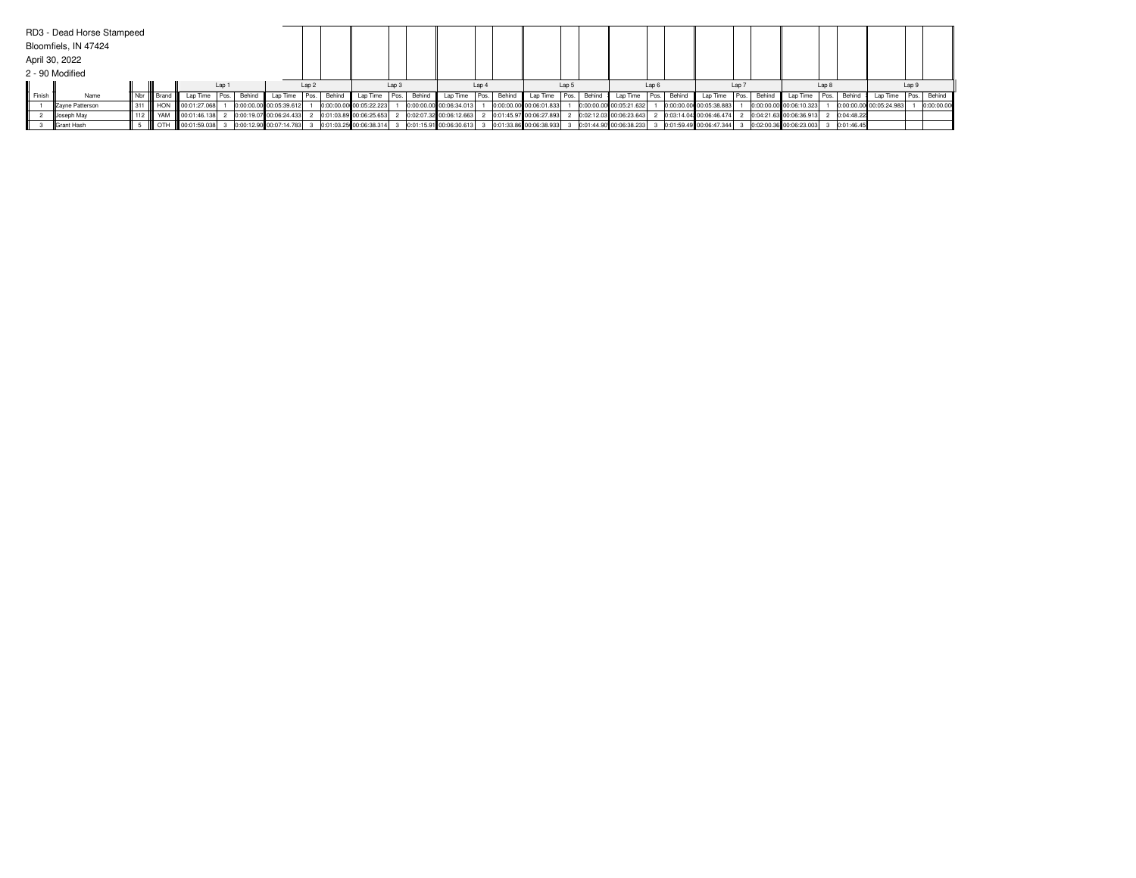|        | RD3 - Dead Horse Stampeed |              |                               |       |      |        |                           |                  |             |                                                                                                       |                  |        |                         |      |        |                         |       |        |                         |      |             |                          |                  |                                                                |       |             |                         |       |             |
|--------|---------------------------|--------------|-------------------------------|-------|------|--------|---------------------------|------------------|-------------|-------------------------------------------------------------------------------------------------------|------------------|--------|-------------------------|------|--------|-------------------------|-------|--------|-------------------------|------|-------------|--------------------------|------------------|----------------------------------------------------------------|-------|-------------|-------------------------|-------|-------------|
|        | Bloomfiels, IN 47424      |              |                               |       |      |        |                           |                  |             |                                                                                                       |                  |        |                         |      |        |                         |       |        |                         |      |             |                          |                  |                                                                |       |             |                         |       |             |
|        | April 30, 2022            |              |                               |       |      |        |                           |                  |             |                                                                                                       |                  |        |                         |      |        |                         |       |        |                         |      |             |                          |                  |                                                                |       |             |                         |       |             |
|        | 2 - 90 Modified           |              |                               |       |      |        |                           |                  |             |                                                                                                       |                  |        |                         |      |        |                         |       |        |                         |      |             |                          |                  |                                                                |       |             |                         |       |             |
|        |                           |              |                               | Lap 1 |      |        |                           | Lap <sub>2</sub> |             |                                                                                                       | Lap <sub>3</sub> |        |                         | Lap4 |        |                         | Lap 5 |        |                         | Lap6 |             |                          | Lap <sub>7</sub> |                                                                | Lap 8 |             |                         | Lap 9 |             |
| Finish | Name                      | Nbr    Brand | Lap Time                      |       | Pos. | Behind | Lap Time                  |                  | Pos. Behind | Lap Time   Pos.                                                                                       |                  | Behind | Lap Time                | Pos. | Behind | Lap Time Pos.           |       | Behind | Lap Time                |      | Pos. Behind | Lap Time   Pos.   Behind |                  | Lap Time                                                       |       | Pos. Behind | Lap Time                |       | Pos. Behind |
|        | Zayne Patterson           |              | 311 HON 00:01:27.068          |       |      |        | 0:00:00.00 00:05:39.612   |                  |             | 0:00:00.00 00:05:22.223                                                                               |                  |        | 0:00:00.00 00:06:34.013 |      |        | 0:00:00.00 00:06:01.833 |       |        | 0:00:00.00 00:05:21.632 |      |             | 0:00:00.00 00:05:38.883  |                  | 0:00:00.00 00:06:10.323                                        |       |             | 0:00:00.00 00:05:24.983 |       | 0:00:00.00  |
|        | Joseph May                |              | 112      YAM     00:01:46.138 |       |      |        | 2 0:00:19.07 00:06:24.433 |                  |             | 2 0:01:03.89 00:06:25.653                                                                             |                  |        | 0:02:07.32 00:06:12.663 |      |        | 0:01:45.97 00:06:27.893 |       |        | 0:02:12.03 00:06:23.643 |      |             | 0:03:14.04 00:06:46.474  |                  | 2 0:04:21.63 00:06:36.913 2 0:04:48.22                         |       |             |                         |       |             |
|        | <b>IGrant Hash</b>        |              |                               |       |      |        |                           |                  |             | 5 COLOFFIN 00:01:59.038 3 0:00:12.90 00:07:14.783 3 0:01:03.25 00:06:38.314 3 0:01:15.91 00:06:30.613 |                  |        |                         |      |        | 0:01:33.86 00:06:38.933 |       |        | 0:01:44.90 00:06:38.233 |      |             |                          |                  | 0:01:59.49 00:06:47.344 3 0:02:00.36 00:06:23.003 3 0:01:46.45 |       |             |                         |       |             |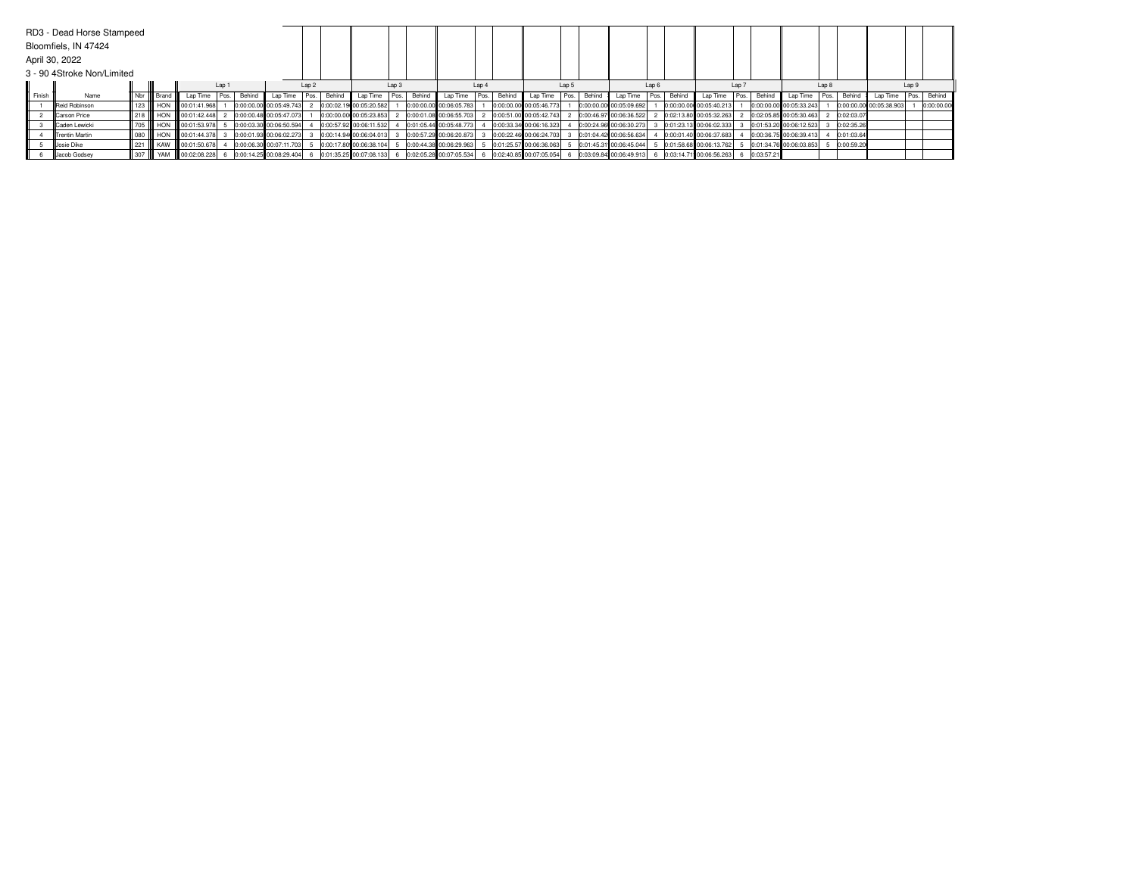|        | RD3 - Dead Horse Stampeed  |                             |                 |                               |       |        |                           |                  |        |                         |                  |        |                         |      |        |                         |       |        |                         |      |        |                         |                  |            |                         |       |            |                         |       |            |
|--------|----------------------------|-----------------------------|-----------------|-------------------------------|-------|--------|---------------------------|------------------|--------|-------------------------|------------------|--------|-------------------------|------|--------|-------------------------|-------|--------|-------------------------|------|--------|-------------------------|------------------|------------|-------------------------|-------|------------|-------------------------|-------|------------|
|        | Bloomfiels, IN 47424       |                             |                 |                               |       |        |                           |                  |        |                         |                  |        |                         |      |        |                         |       |        |                         |      |        |                         |                  |            |                         |       |            |                         |       |            |
|        | April 30, 2022             |                             |                 |                               |       |        |                           |                  |        |                         |                  |        |                         |      |        |                         |       |        |                         |      |        |                         |                  |            |                         |       |            |                         |       |            |
|        | 3 - 90 4Stroke Non/Limited |                             |                 |                               |       |        |                           |                  |        |                         |                  |        |                         |      |        |                         |       |        |                         |      |        |                         |                  |            |                         |       |            |                         |       |            |
|        |                            |                             |                 |                               | Lap 1 |        |                           | Lap <sub>2</sub> |        |                         | Lap <sub>3</sub> |        |                         | Lap4 |        |                         | Lap 5 |        |                         | Lap6 |        |                         | Lap <sub>7</sub> |            |                         | Lap 8 |            |                         | Lap 9 |            |
| Finish | Name                       |                             | Nbr       Brand | Lap Time                      | Pos.  | Behind | Lap Time                  | Pos.             | Behind | Lap Time Pos.           |                  | Behind | Lap Time                | Pos. | Behind | Lap Time Pos.           |       | Behind | Lap Time                | Pos. | Behind | Lap Time                | Pos.             | Behind     | Lap Time                | Pos.  | Behing     | Lap Time                | Pos.  | Behind     |
|        | <b>IReid Robinson</b>      |                             |                 | 123 HON 00:01:41.968          |       |        | 0:00:00.00 00:05:49.743   |                  |        | 0:00:02.19 00:05:20.582 |                  |        | 0:00:00.00 00:06:05.783 |      |        | 0:00:00.00 00:05:46.773 |       |        | 0:00:00.00 00:05:09.692 |      |        | 0:00:00.00 00:05:40.213 |                  |            | 0:00:00.00 00:05:33.243 |       |            | 0:00:00.00 00:05:38.903 |       | 0:00:00.00 |
|        | <b>ICarson Price</b>       |                             |                 | 218 HON 00:01:42.448          |       |        | 0:00:00.48 00:05:47.073   |                  |        | 0:00:00.00 00:05:23.853 |                  |        | 0:00:01.08 00:06:55.703 |      |        | 0:00:51.00 00:05:42.743 |       |        | 0:00:46.97 00:06:36.522 |      |        | 0:02:13.80 00:05:32.263 |                  |            | 0:02:05.85 00:05:30.463 |       | 0:02:03.07 |                         |       |            |
|        | <b>ICaden Lewicki</b>      | $\parallel$ 705 $\parallel$ |                 | HON 100:01:53.978             |       |        | 0:00:03.30 00:06:50.594   |                  |        | 0:00:57.92 00:06:11.532 |                  |        | 0:01:05.44 00:05:48.773 |      |        | 0:00:33.34 00:06:16.323 |       |        | 0:00:24.96 00:06:30.273 |      |        | 0:01:23.13 00:06:02.333 |                  |            | 0:01:53.20 00:06:12.523 |       | 0:02:35.26 |                         |       |            |
|        | <b>ITrentin Martin</b>     |                             |                 | 080      HON     00:01:44.378 |       |        | 0:00:01.93 00:06:02.273   |                  |        | 0:00:14.94 00:06:04.013 |                  |        | 0:00:57.29 00:06:20.873 |      |        | 0:00:22.46 00:06:24.703 |       |        | 0:01:04.42 00:06:56.634 |      |        | 0:00:01.40 00:06:37.683 |                  |            | 0:00:36.75 00:06:39.413 |       | 0:01:03.64 |                         |       |            |
|        | <b>Josie Dike</b>          |                             |                 | 221    KAW    00:01:50.678    |       |        | 0:00:06.30 00:07:11.703   |                  |        | 0:00:17.80 00:06:38.104 |                  |        | 0:00:44.38 00:06:29.963 |      |        | 0:01:25.57 00:06:36.063 |       |        | 0:01:45.31 00:06:45.044 |      |        | 0:01:58.68 00:06:13.762 |                  |            | 0:01:34.76 00:06:03.853 |       | 0:00:59.20 |                         |       |            |
|        | Jacob Godsey               |                             |                 | 307   YAM   00:02:08.228      |       |        | 6 0:00:14.25 00:08:29.404 |                  |        | 0:01:35.25 00:07:08.133 |                  |        | 0:02:05.28 00:07:05.534 |      |        | 0:02:40.85 00:07:05.054 |       |        | 0:03:09.84 00:06:49.913 |      |        | 0:03:14.71 00:06:56.263 |                  | 0:03:57.21 |                         |       |            |                         |       |            |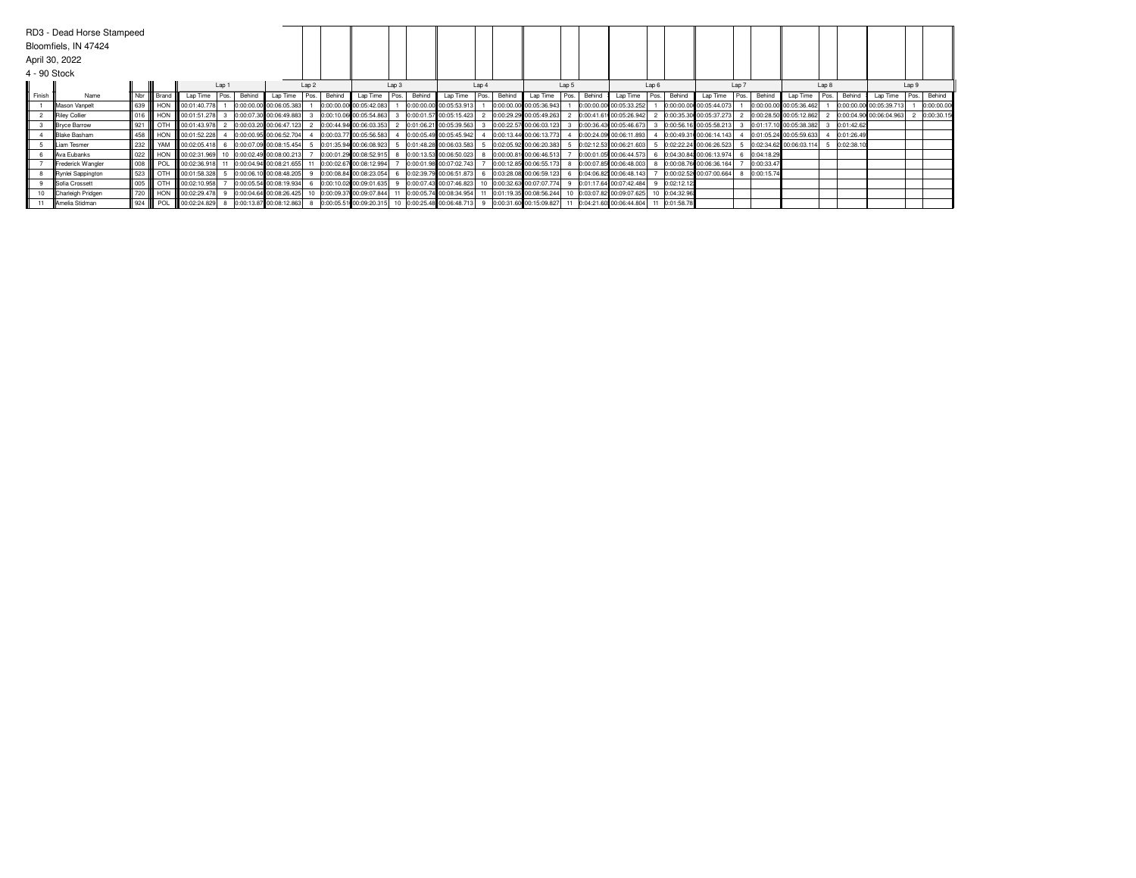| 4 - 90 Stock | RD3 - Dead Horse Stampeed<br>Bloomfiels, IN 47424<br>April 30, 2022 |                             |               |                      |       |        |                            |                  |        |                                                      |                  |        |                            |                  |        |                         |       |        |                                                    |      |               |                         |                |                         |       |            |                         |                |
|--------------|---------------------------------------------------------------------|-----------------------------|---------------|----------------------|-------|--------|----------------------------|------------------|--------|------------------------------------------------------|------------------|--------|----------------------------|------------------|--------|-------------------------|-------|--------|----------------------------------------------------|------|---------------|-------------------------|----------------|-------------------------|-------|------------|-------------------------|----------------|
|              |                                                                     |                             |               |                      | Lap 1 |        |                            | Lap <sub>2</sub> |        |                                                      | Lap <sub>3</sub> |        |                            | Lap <sub>4</sub> |        |                         | Lap 5 |        |                                                    | Lap6 |               |                         | Lap 7          |                         | Lap 8 |            |                         | Lap 9          |
| Finish       | Name                                                                |                             | Nbr III Brand | Lap Time             | Pos.  | Behind | Lap Time                   | Pos.             | Behind | Lap Time Pos.                                        |                  | Behind | Lap Time                   | Pos.             | Behind | Lap Time Pos.           |       | Behind | Lap Time                                           | Pos. | Behind        | Lap Time                | Behind<br>Pos. | Lap Time                | Pos.  | Behind     | Lap Time                | Pos.<br>Behind |
|              | Mason Vanpelt                                                       | $\parallel$ 639 $\parallel$ | HON           | 00:01:40.778         |       |        | 0:00:00.00 00:06:05.383    |                  |        | 0:00:00.00 00:05:42.083                              |                  |        | 0:00:00.00 00:05:53.913    |                  |        | 0:00:00.00 00:05:36.943 |       |        | 0:00:00.00 00:05:33.252                            |      |               | 0:00:00.00 00:05:44.073 |                | 0:00:00.00 00:05:36.462 |       |            | 0:00:00.00 00:05:39.713 | 0:00:00.00     |
|              | Riley Collier                                                       |                             |               | 016 HON 00:01:51.278 |       |        | 0:00:07.30 00:06:49.883    |                  |        | 0:00:10.06 00:05:54.863                              |                  |        | 0:00:01.57 00:05:15.423    |                  |        | 0:00:29.29 00:05:49.263 |       |        | 0:00:41.61 00:05:26.942                            |      |               | 0:00:35.30 00:05:37.273 |                | 0:00:28.50 00:05:12.862 |       |            | 0:00:04.90 00:06:04.963 | 2 0:00:30.15   |
|              | Bryce Barrow                                                        |                             | ∥ 921 III OTH | 00:01:43.978         |       |        | 2 0:00:03.20 00:06:47.123  |                  |        | 0:00:44.94 00:06:03.353                              |                  |        | 0:01:06.21 00:05:39.563    |                  |        | 0:00:22.57 00:06:03.123 |       |        | 0:00:36.43 00:05:46.673                            |      |               | 0:00:56.16 00:05:58.213 |                | 0:01:17.10 00:05:38.382 |       | 0:01:42.62 |                         |                |
|              | <b>IBlake Basham</b>                                                | 458                         | HON           | 00:01:52.228         |       |        | 0:00:00.95 00:06:52.704    |                  |        | 0:00:03.77 00:05:56.583                              |                  |        | 0:00:05.49 00:05:45.942    |                  |        | 0:00:13.44 00:06:13.773 |       |        | 0:00:24.09 00:06:11.893                            |      |               | 0:00:49.31 00:06:14.143 |                | 0:01:05.24 00:05:59.633 |       | 0:01:26.49 |                         |                |
|              | ILiam Tesmer                                                        | 232                         | YAM           | 00:02:05.418         |       |        | 0:00:07.09 00:08:15.454    |                  |        | 0:01:35.94 00:06:08.923                              |                  |        | 0:01:48.28 00:06:03.583    |                  |        | 0:02:05.92 00:06:20.383 |       |        | 0:02:12.53 00:06:21.603                            |      |               | 0:02:22.24 00:06:26.523 |                | 0:02:34.62 00:06:03.114 |       | 0:02:38.10 |                         |                |
|              | Ava Eubanks                                                         | $\parallel$ 022             | <b>HON</b>    | 00:02:31.969         |       |        | 10 0:00:02.49 00:08:00.213 |                  |        | 0:00:01.29 00:08:52.915                              |                  |        | 0:00:13.53 00:06:50.023    |                  |        | 0:00:00.81 00:06:46.513 |       |        | 0:00:01.05 00:06:44.573                            |      |               | 0:04:30.84 00:06:13.974 | 0:04:18.29     |                         |       |            |                         |                |
|              | Frederick Wangler                                                   | $\parallel$ 008 $\parallel$ | POL           | 00:02:36.918         |       |        | 0:00:04.94 00:08:21.655    |                  |        | 0:00:02.67 00:08:12.994                              |                  |        | 0:00:01.98 00:07:02.743    |                  |        | 0:00:12.85 00:06:55.173 |       |        | 0:00:07.85 00:06:48.003                            |      |               | 0:00:08.76 00:06:36.164 | 0:00:33.47     |                         |       |            |                         |                |
|              | Rynlei Sappington                                                   | III 523 IIII                | l отн         | 00:01:58.328         |       |        | 0:00:06.10 00:08:48.205    |                  |        | 0:00:08.84 00:08:23.054                              |                  |        | 0:02:39.79 00:06:51.873    |                  |        | 0:03:28.08 00:06:59.123 |       |        | 0:04:06.82 00:06:48.143                            |      |               | 0:00:02.52 00:07:00.664 | 0:00:15.74     |                         |       |            |                         |                |
|              | Sofia Crossett                                                      | $\parallel$ 005 $\parallel$ | l отн         | 00:02:10.958         |       |        | 0:00:05.54 00:08:19.934    |                  |        | 0:00:10.02 00:09:01.635                              |                  |        | 0:00:07.43 00:07:46.823    |                  |        | 0:00:32.63 00:07:07.774 |       |        | 9 0:01:17.64 00:07:42.484                          |      | 0:02:12.12    |                         |                |                         |       |            |                         |                |
|              | Charleigh Pridgen                                                   | 720                         | HON           | 00:02:29.478         |       |        | 0:00:04.64 00:08:26.425    |                  |        | 10 0:00:09.37 00:09:07.844                           |                  |        | 11 0:00:05.74 00:08:34.954 |                  |        | 0:01:19.35 00:08:56.244 |       |        | 10 0:03:07.82 00:09:07.625                         |      | 10 0:04:32.96 |                         |                |                         |       |            |                         |                |
|              | <b>I</b> Amelia Stidman                                             |                             | 924      POL  | 00:02:24.829         |       |        | 8 0:00:13.87 00:08:12.863  |                  |        | 8 0:00:05.51 00:09:20.315 10 0:00:25.48 00:06:48.713 |                  |        |                            |                  |        |                         |       |        | 0:00:31.60 00:15:09.827 11 0:04:21.60 00:06:44.804 |      | 11 0:01:58.78 |                         |                |                         |       |            |                         |                |